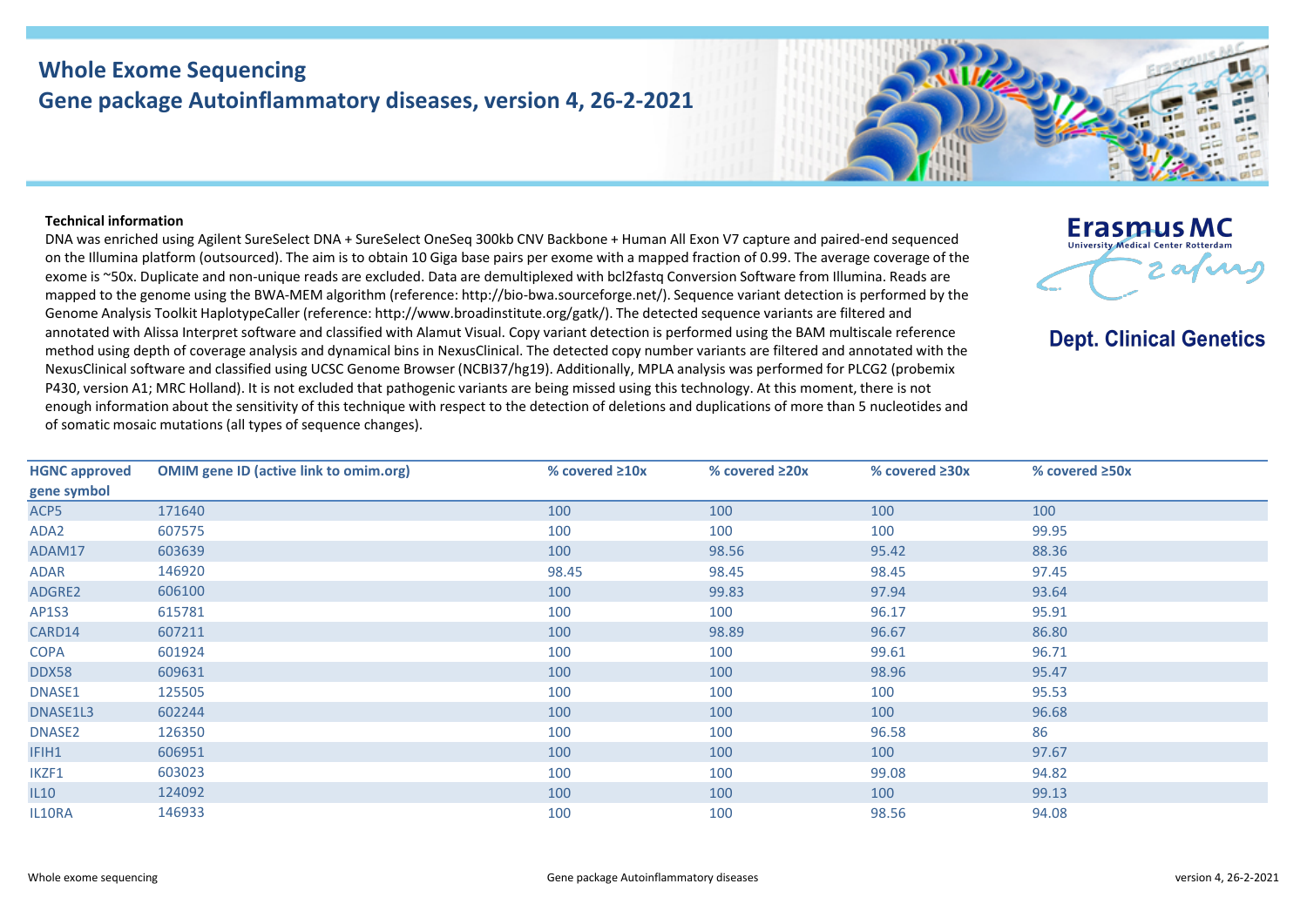## **Whole Exome Sequencing Gene package Autoinflammatory diseases, version 4, 26-2-2021**

## **Technical information**

DNA was enriched using Agilent SureSelect DNA + SureSelect OneSeq 300kb CNV Backbone + Human All Exon V7 capture and paired-end sequenced on the Illumina platform (outsourced). The aim is to obtain 10 Giga base pairs per exome with a mapped fraction of 0.99. The average coverage of the exome is ~50x. Duplicate and non-unique reads are excluded. Data are demultiplexed with bcl2fastq Conversion Software from Illumina. Reads are mapped to the genome using the BWA-MEM algorithm (reference: http://bio-bwa.sourceforge.net/). Sequence variant detection is performed by the Genome Analysis Toolkit HaplotypeCaller (reference: http://www.broadinstitute.org/gatk/). The detected sequence variants are filtered and annotated with Alissa Interpret software and classified with Alamut Visual. Copy variant detection is performed using the BAM multiscale reference method using depth of coverage analysis and dynamical bins in NexusClinical. The detected copy number variants are filtered and annotated with the NexusClinical software and classified using UCSC Genome Browser (NCBI37/hg19). Additionally, MPLA analysis was performed for PLCG2 (probemix P430, version A1; MRC Holland). It is not excluded that pathogenic variants are being missed using this technology. At this moment, there is not enough information about the sensitivity of this technique with respect to the detection of deletions and duplications of more than 5 nucleotides and of somatic mosaic mutations (all types of sequence changes).



**Dept. Clinical Genetics** 

| <b>HGNC approved</b> | <b>OMIM gene ID (active link to omim.org)</b> | % covered $\geq 10x$ | % covered $\geq 20x$ | % covered $\geq 30x$ | % covered $\geq$ 50x |
|----------------------|-----------------------------------------------|----------------------|----------------------|----------------------|----------------------|
| gene symbol          |                                               |                      |                      |                      |                      |
| ACP5                 | 171640                                        | 100                  | 100                  | 100                  | 100                  |
| ADA2                 | 607575                                        | 100                  | 100                  | 100                  | 99.95                |
| ADAM17               | 603639                                        | 100                  | 98.56                | 95.42                | 88.36                |
| ADAR                 | 146920                                        | 98.45                | 98.45                | 98.45                | 97.45                |
| ADGRE2               | 606100                                        | 100                  | 99.83                | 97.94                | 93.64                |
| AP1S3                | 615781                                        | 100                  | 100                  | 96.17                | 95.91                |
| CARD14               | 607211                                        | 100                  | 98.89                | 96.67                | 86.80                |
| <b>COPA</b>          | 601924                                        | 100                  | 100                  | 99.61                | 96.71                |
| DDX58                | 609631                                        | 100                  | 100                  | 98.96                | 95.47                |
| DNASE1               | 125505                                        | 100                  | 100                  | 100                  | 95.53                |
| DNASE1L3             | 602244                                        | 100                  | 100                  | 100                  | 96.68                |
| DNASE2               | 126350                                        | 100                  | 100                  | 96.58                | 86                   |
| IFIH1                | 606951                                        | 100                  | 100                  | 100                  | 97.67                |
| IKZF1                | 603023                                        | 100                  | 100                  | 99.08                | 94.82                |
| L10                  | 124092                                        | 100                  | 100                  | 100                  | 99.13                |
| IL10RA               | 146933                                        | 100                  | 100                  | 98.56                | 94.08                |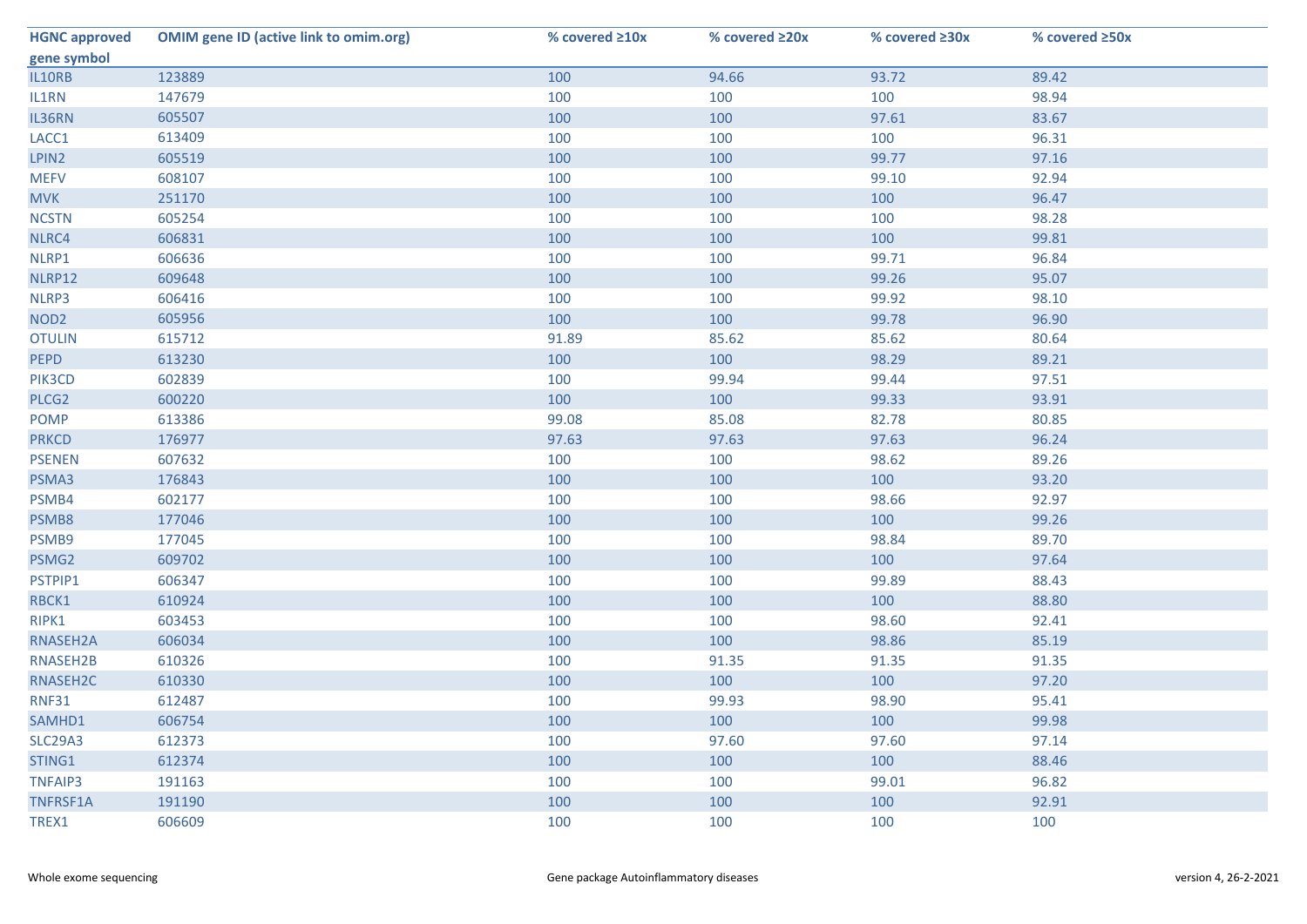| <b>HGNC approved</b> | <b>OMIM gene ID (active link to omim.org)</b> | % covered $\geq 10x$ | % covered ≥20x | % covered ≥30x | % covered ≥50x |
|----------------------|-----------------------------------------------|----------------------|----------------|----------------|----------------|
| gene symbol          |                                               |                      |                |                |                |
| IL10RB               | 123889                                        | 100                  | 94.66          | 93.72          | 89.42          |
| IL1RN                | 147679                                        | 100                  | 100            | 100            | 98.94          |
| IL36RN               | 605507                                        | 100                  | 100            | 97.61          | 83.67          |
| LACC1                | 613409                                        | 100                  | 100            | 100            | 96.31          |
| LPIN2                | 605519                                        | 100                  | 100            | 99.77          | 97.16          |
| <b>MEFV</b>          | 608107                                        | 100                  | 100            | 99.10          | 92.94          |
| <b>MVK</b>           | 251170                                        | 100                  | 100            | 100            | 96.47          |
| <b>NCSTN</b>         | 605254                                        | 100                  | 100            | 100            | 98.28          |
| NLRC4                | 606831                                        | 100                  | 100            | 100            | 99.81          |
| NLRP1                | 606636                                        | 100                  | 100            | 99.71          | 96.84          |
| NLRP12               | 609648                                        | 100                  | 100            | 99.26          | 95.07          |
| NLRP3                | 606416                                        | 100                  | 100            | 99.92          | 98.10          |
| NOD <sub>2</sub>     | 605956                                        | 100                  | 100            | 99.78          | 96.90          |
| <b>OTULIN</b>        | 615712                                        | 91.89                | 85.62          | 85.62          | 80.64          |
| <b>PEPD</b>          | 613230                                        | 100                  | 100            | 98.29          | 89.21          |
| PIK3CD               | 602839                                        | 100                  | 99.94          | 99.44          | 97.51          |
| PLCG <sub>2</sub>    | 600220                                        | 100                  | 100            | 99.33          | 93.91          |
| <b>POMP</b>          | 613386                                        | 99.08                | 85.08          | 82.78          | 80.85          |
| <b>PRKCD</b>         | 176977                                        | 97.63                | 97.63          | 97.63          | 96.24          |
| <b>PSENEN</b>        | 607632                                        | 100                  | 100            | 98.62          | 89.26          |
| PSMA3                | 176843                                        | 100                  | 100            | 100            | 93.20          |
| PSMB4                | 602177                                        | 100                  | 100            | 98.66          | 92.97          |
| PSMB8                | 177046                                        | 100                  | 100            | 100            | 99.26          |
| PSMB9                | 177045                                        | 100                  | 100            | 98.84          | 89.70          |
| PSMG2                | 609702                                        | 100                  | 100            | 100            | 97.64          |
| PSTPIP1              | 606347                                        | 100                  | 100            | 99.89          | 88.43          |
| RBCK1                | 610924                                        | 100                  | 100            | 100            | 88.80          |
| RIPK1                | 603453                                        | 100                  | 100            | 98.60          | 92.41          |
| RNASEH2A             | 606034                                        | 100                  | 100            | 98.86          | 85.19          |
| RNASEH2B             | 610326                                        | 100                  | 91.35          | 91.35          | 91.35          |
| RNASEH2C             | 610330                                        | 100                  | 100            | 100            | 97.20          |
| <b>RNF31</b>         | 612487                                        | 100                  | 99.93          | 98.90          | 95.41          |
| SAMHD1               | 606754                                        | 100                  | 100            | 100            | 99.98          |
| <b>SLC29A3</b>       | 612373                                        | 100                  | 97.60          | 97.60          | 97.14          |
| STING1               | 612374                                        | 100                  | 100            | 100            | 88.46          |
| <b>TNFAIP3</b>       | 191163                                        | 100                  | 100            | 99.01          | 96.82          |
| TNFRSF1A             | 191190                                        | 100                  | 100            | 100            | 92.91          |
| TREX1                | 606609                                        | 100                  | 100            | 100            | 100            |